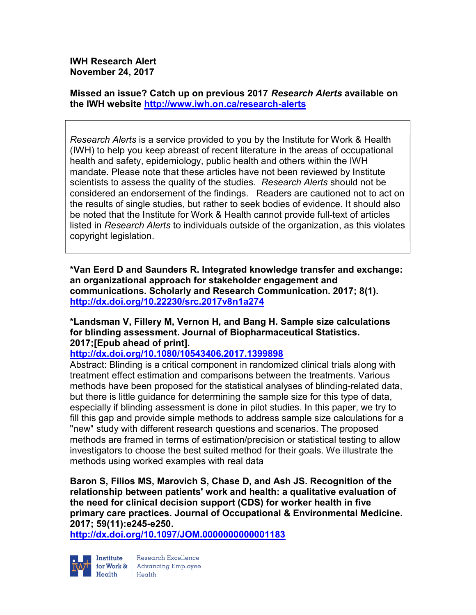IWH Research Alert November 24, 2017

Missed an issue? Catch up on previous 2017 Research Alerts available on the IWH website http://www.iwh.on.ca/research-alerts

Research Alerts is a service provided to you by the Institute for Work & Health (IWH) to help you keep abreast of recent literature in the areas of occupational health and safety, epidemiology, public health and others within the IWH mandate. Please note that these articles have not been reviewed by Institute scientists to assess the quality of the studies. Research Alerts should not be considered an endorsement of the findings. Readers are cautioned not to act on the results of single studies, but rather to seek bodies of evidence. It should also be noted that the Institute for Work & Health cannot provide full-text of articles listed in Research Alerts to individuals outside of the organization, as this violates copyright legislation.

\*Van Eerd D and Saunders R. Integrated knowledge transfer and exchange: an organizational approach for stakeholder engagement and communications. Scholarly and Research Communication. 2017; 8(1). http://dx.doi.org/10.22230/src.2017v8n1a274

\*Landsman V, Fillery M, Vernon H, and Bang H. Sample size calculations for blinding assessment. Journal of Biopharmaceutical Statistics. 2017;[Epub ahead of print].

http://dx.doi.org/10.1080/10543406.2017.1399898

Abstract: Blinding is a critical component in randomized clinical trials along with treatment effect estimation and comparisons between the treatments. Various methods have been proposed for the statistical analyses of blinding-related data, but there is little guidance for determining the sample size for this type of data, especially if blinding assessment is done in pilot studies. In this paper, we try to fill this gap and provide simple methods to address sample size calculations for a "new" study with different research questions and scenarios. The proposed methods are framed in terms of estimation/precision or statistical testing to allow investigators to choose the best suited method for their goals. We illustrate the methods using worked examples with real data

Baron S, Filios MS, Marovich S, Chase D, and Ash JS. Recognition of the relationship between patients' work and health: a qualitative evaluation of the need for clinical decision support (CDS) for worker health in five primary care practices. Journal of Occupational & Environmental Medicine. 2017; 59(11):e245-e250.

http://dx.doi.org/10.1097/JOM.0000000000001183



**Institute** Research Excellence<br> **for Work &** Advancing Employee<br> **Health** Health Health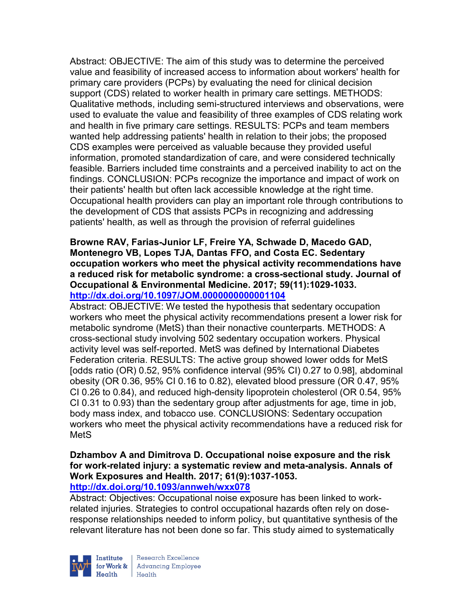Abstract: OBJECTIVE: The aim of this study was to determine the perceived value and feasibility of increased access to information about workers' health for primary care providers (PCPs) by evaluating the need for clinical decision support (CDS) related to worker health in primary care settings. METHODS: Qualitative methods, including semi-structured interviews and observations, were used to evaluate the value and feasibility of three examples of CDS relating work and health in five primary care settings. RESULTS: PCPs and team members wanted help addressing patients' health in relation to their jobs; the proposed CDS examples were perceived as valuable because they provided useful information, promoted standardization of care, and were considered technically feasible. Barriers included time constraints and a perceived inability to act on the findings. CONCLUSION: PCPs recognize the importance and impact of work on their patients' health but often lack accessible knowledge at the right time. Occupational health providers can play an important role through contributions to the development of CDS that assists PCPs in recognizing and addressing patients' health, as well as through the provision of referral guidelines

### Browne RAV, Farias-Junior LF, Freire YA, Schwade D, Macedo GAD, Montenegro VB, Lopes TJA, Dantas FFO, and Costa EC. Sedentary occupation workers who meet the physical activity recommendations have a reduced risk for metabolic syndrome: a cross-sectional study. Journal of Occupational & Environmental Medicine. 2017; 59(11):1029-1033. http://dx.doi.org/10.1097/JOM.0000000000001104

Abstract: OBJECTIVE: We tested the hypothesis that sedentary occupation workers who meet the physical activity recommendations present a lower risk for metabolic syndrome (MetS) than their nonactive counterparts. METHODS: A cross-sectional study involving 502 sedentary occupation workers. Physical activity level was self-reported. MetS was defined by International Diabetes Federation criteria. RESULTS: The active group showed lower odds for MetS [odds ratio (OR) 0.52, 95% confidence interval (95% CI) 0.27 to 0.98], abdominal obesity (OR 0.36, 95% CI 0.16 to 0.82), elevated blood pressure (OR 0.47, 95% CI 0.26 to 0.84), and reduced high-density lipoprotein cholesterol (OR 0.54, 95% CI 0.31 to 0.93) than the sedentary group after adjustments for age, time in job, body mass index, and tobacco use. CONCLUSIONS: Sedentary occupation workers who meet the physical activity recommendations have a reduced risk for MetS

# Dzhambov A and Dimitrova D. Occupational noise exposure and the risk for work-related injury: a systematic review and meta-analysis. Annals of Work Exposures and Health. 2017; 61(9):1037-1053.

http://dx.doi.org/10.1093/annweh/wxx078

Abstract: Objectives: Occupational noise exposure has been linked to workrelated injuries. Strategies to control occupational hazards often rely on doseresponse relationships needed to inform policy, but quantitative synthesis of the relevant literature has not been done so far. This study aimed to systematically



Research Excellence for Work & | Advancing Employee Health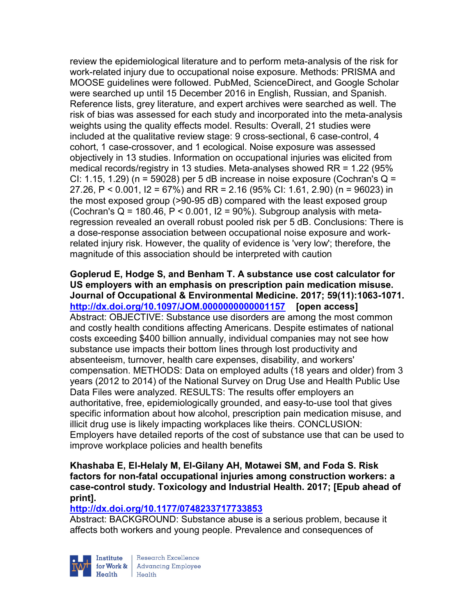review the epidemiological literature and to perform meta-analysis of the risk for work-related injury due to occupational noise exposure. Methods: PRISMA and MOOSE guidelines were followed. PubMed, ScienceDirect, and Google Scholar were searched up until 15 December 2016 in English, Russian, and Spanish. Reference lists, grey literature, and expert archives were searched as well. The risk of bias was assessed for each study and incorporated into the meta-analysis weights using the quality effects model. Results: Overall, 21 studies were included at the qualitative review stage: 9 cross-sectional, 6 case-control, 4 cohort, 1 case-crossover, and 1 ecological. Noise exposure was assessed objectively in 13 studies. Information on occupational injuries was elicited from medical records/registry in 13 studies. Meta-analyses showed RR = 1.22 (95% CI: 1.15, 1.29) ( $n = 59028$ ) per 5 dB increase in noise exposure (Cochran's Q = 27.26, P < 0.001, I2 = 67%) and RR = 2.16 (95% CI: 1.61, 2.90) (n = 96023) in the most exposed group (>90-95 dB) compared with the least exposed group (Cochran's  $Q = 180.46$ ,  $P < 0.001$ ,  $I2 = 90\%$ ). Subgroup analysis with metaregression revealed an overall robust pooled risk per 5 dB. Conclusions: There is a dose-response association between occupational noise exposure and workrelated injury risk. However, the quality of evidence is 'very low'; therefore, the magnitude of this association should be interpreted with caution

Goplerud E, Hodge S, and Benham T. A substance use cost calculator for US employers with an emphasis on prescription pain medication misuse. Journal of Occupational & Environmental Medicine. 2017; 59(11):1063-1071. http://dx.doi.org/10.1097/JOM.0000000000001157 [open access] Abstract: OBJECTIVE: Substance use disorders are among the most common and costly health conditions affecting Americans. Despite estimates of national costs exceeding \$400 billion annually, individual companies may not see how substance use impacts their bottom lines through lost productivity and absenteeism, turnover, health care expenses, disability, and workers' compensation. METHODS: Data on employed adults (18 years and older) from 3 years (2012 to 2014) of the National Survey on Drug Use and Health Public Use Data Files were analyzed. RESULTS: The results offer employers an authoritative, free, epidemiologically grounded, and easy-to-use tool that gives specific information about how alcohol, prescription pain medication misuse, and illicit drug use is likely impacting workplaces like theirs. CONCLUSION: Employers have detailed reports of the cost of substance use that can be used to improve workplace policies and health benefits

Khashaba E, El-Helaly M, El-Gilany AH, Motawei SM, and Foda S. Risk factors for non-fatal occupational injuries among construction workers: a case-control study. Toxicology and Industrial Health. 2017; [Epub ahead of print].

### http://dx.doi.org/10.1177/0748233717733853

Abstract: BACKGROUND: Substance abuse is a serious problem, because it affects both workers and young people. Prevalence and consequences of



Research Excellence for Work & Advancing Employee Health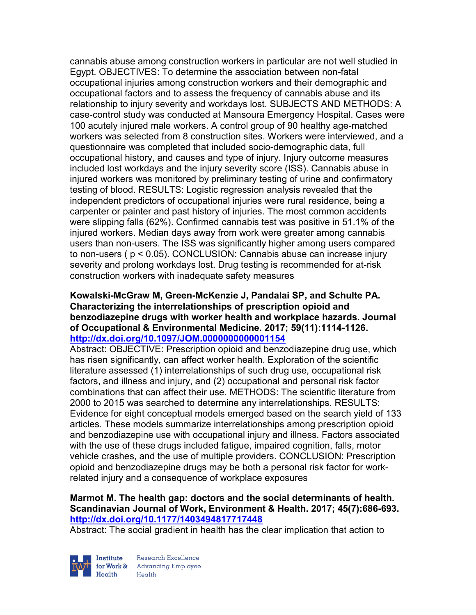cannabis abuse among construction workers in particular are not well studied in Egypt. OBJECTIVES: To determine the association between non-fatal occupational injuries among construction workers and their demographic and occupational factors and to assess the frequency of cannabis abuse and its relationship to injury severity and workdays lost. SUBJECTS AND METHODS: A case-control study was conducted at Mansoura Emergency Hospital. Cases were 100 acutely injured male workers. A control group of 90 healthy age-matched workers was selected from 8 construction sites. Workers were interviewed, and a questionnaire was completed that included socio-demographic data, full occupational history, and causes and type of injury. Injury outcome measures included lost workdays and the injury severity score (ISS). Cannabis abuse in injured workers was monitored by preliminary testing of urine and confirmatory testing of blood. RESULTS: Logistic regression analysis revealed that the independent predictors of occupational injuries were rural residence, being a carpenter or painter and past history of injuries. The most common accidents were slipping falls (62%). Confirmed cannabis test was positive in 51.1% of the injured workers. Median days away from work were greater among cannabis users than non-users. The ISS was significantly higher among users compared to non-users ( p < 0.05). CONCLUSION: Cannabis abuse can increase injury severity and prolong workdays lost. Drug testing is recommended for at-risk construction workers with inadequate safety measures

### Kowalski-McGraw M, Green-McKenzie J, Pandalai SP, and Schulte PA. Characterizing the interrelationships of prescription opioid and benzodiazepine drugs with worker health and workplace hazards. Journal of Occupational & Environmental Medicine. 2017; 59(11):1114-1126. http://dx.doi.org/10.1097/JOM.0000000000001154

Abstract: OBJECTIVE: Prescription opioid and benzodiazepine drug use, which has risen significantly, can affect worker health. Exploration of the scientific literature assessed (1) interrelationships of such drug use, occupational risk factors, and illness and injury, and (2) occupational and personal risk factor combinations that can affect their use. METHODS: The scientific literature from 2000 to 2015 was searched to determine any interrelationships. RESULTS: Evidence for eight conceptual models emerged based on the search yield of 133 articles. These models summarize interrelationships among prescription opioid and benzodiazepine use with occupational injury and illness. Factors associated with the use of these drugs included fatigue, impaired cognition, falls, motor vehicle crashes, and the use of multiple providers. CONCLUSION: Prescription opioid and benzodiazepine drugs may be both a personal risk factor for workrelated injury and a consequence of workplace exposures

## Marmot M. The health gap: doctors and the social determinants of health. Scandinavian Journal of Work, Environment & Health. 2017; 45(7):686-693. http://dx.doi.org/10.1177/1403494817717448

Abstract: The social gradient in health has the clear implication that action to



Research Excellence for Work & Advancing Employee Health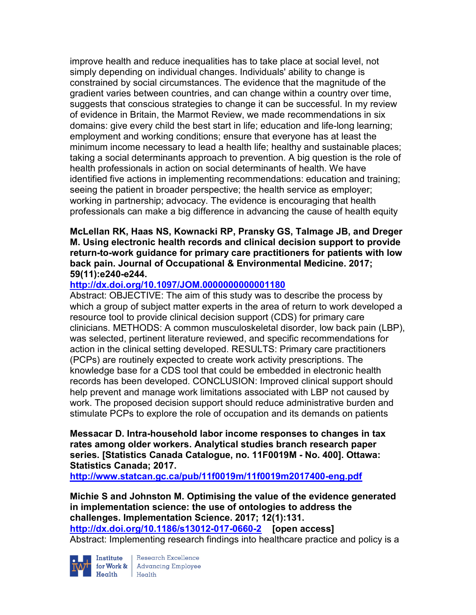improve health and reduce inequalities has to take place at social level, not simply depending on individual changes. Individuals' ability to change is constrained by social circumstances. The evidence that the magnitude of the gradient varies between countries, and can change within a country over time, suggests that conscious strategies to change it can be successful. In my review of evidence in Britain, the Marmot Review, we made recommendations in six domains: give every child the best start in life; education and life-long learning; employment and working conditions; ensure that everyone has at least the minimum income necessary to lead a health life; healthy and sustainable places; taking a social determinants approach to prevention. A big question is the role of health professionals in action on social determinants of health. We have identified five actions in implementing recommendations: education and training; seeing the patient in broader perspective; the health service as employer; working in partnership; advocacy. The evidence is encouraging that health professionals can make a big difference in advancing the cause of health equity

### McLellan RK, Haas NS, Kownacki RP, Pransky GS, Talmage JB, and Dreger M. Using electronic health records and clinical decision support to provide return-to-work guidance for primary care practitioners for patients with low back pain. Journal of Occupational & Environmental Medicine. 2017; 59(11):e240-e244.

## http://dx.doi.org/10.1097/JOM.0000000000001180

Abstract: OBJECTIVE: The aim of this study was to describe the process by which a group of subject matter experts in the area of return to work developed a resource tool to provide clinical decision support (CDS) for primary care clinicians. METHODS: A common musculoskeletal disorder, low back pain (LBP), was selected, pertinent literature reviewed, and specific recommendations for action in the clinical setting developed. RESULTS: Primary care practitioners (PCPs) are routinely expected to create work activity prescriptions. The knowledge base for a CDS tool that could be embedded in electronic health records has been developed. CONCLUSION: Improved clinical support should help prevent and manage work limitations associated with LBP not caused by work. The proposed decision support should reduce administrative burden and stimulate PCPs to explore the role of occupation and its demands on patients

Messacar D. Intra-household labor income responses to changes in tax rates among older workers. Analytical studies branch research paper series. [Statistics Canada Catalogue, no. 11F0019M - No. 400]. Ottawa: Statistics Canada; 2017.

http://www.statcan.gc.ca/pub/11f0019m/11f0019m2017400-eng.pdf

Michie S and Johnston M. Optimising the value of the evidence generated in implementation science: the use of ontologies to address the challenges. Implementation Science. 2017; 12(1):131. http://dx.doi.org/10.1186/s13012-017-0660-2 [open access] Abstract: Implementing research findings into healthcare practice and policy is a



Institute Research Excellence<br>for Work & Advancing Employee<br>Health Health Health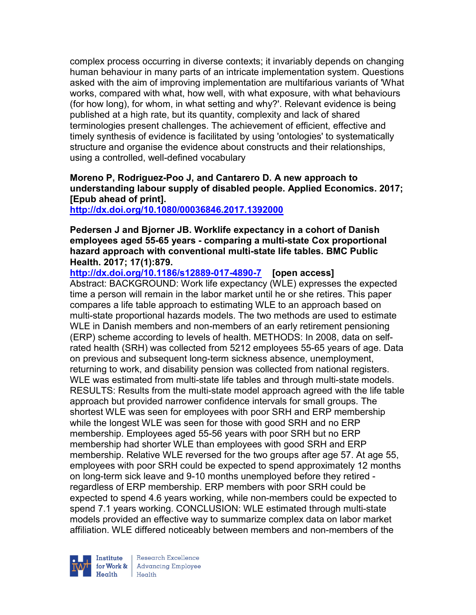complex process occurring in diverse contexts; it invariably depends on changing human behaviour in many parts of an intricate implementation system. Questions asked with the aim of improving implementation are multifarious variants of 'What works, compared with what, how well, with what exposure, with what behaviours (for how long), for whom, in what setting and why?'. Relevant evidence is being published at a high rate, but its quantity, complexity and lack of shared terminologies present challenges. The achievement of efficient, effective and timely synthesis of evidence is facilitated by using 'ontologies' to systematically structure and organise the evidence about constructs and their relationships, using a controlled, well-defined vocabulary

## Moreno P, Rodriguez-Poo J, and Cantarero D. A new approach to understanding labour supply of disabled people. Applied Economics. 2017; [Epub ahead of print].

http://dx.doi.org/10.1080/00036846.2017.1392000

### Pedersen J and Bjorner JB. Worklife expectancy in a cohort of Danish employees aged 55-65 years - comparing a multi-state Cox proportional hazard approach with conventional multi-state life tables. BMC Public Health. 2017; 17(1):879.

http://dx.doi.org/10.1186/s12889-017-4890-7 [open access]

Abstract: BACKGROUND: Work life expectancy (WLE) expresses the expected time a person will remain in the labor market until he or she retires. This paper compares a life table approach to estimating WLE to an approach based on multi-state proportional hazards models. The two methods are used to estimate WLE in Danish members and non-members of an early retirement pensioning (ERP) scheme according to levels of health. METHODS: In 2008, data on selfrated health (SRH) was collected from 5212 employees 55-65 years of age. Data on previous and subsequent long-term sickness absence, unemployment, returning to work, and disability pension was collected from national registers. WLE was estimated from multi-state life tables and through multi-state models. RESULTS: Results from the multi-state model approach agreed with the life table approach but provided narrower confidence intervals for small groups. The shortest WLE was seen for employees with poor SRH and ERP membership while the longest WLE was seen for those with good SRH and no ERP membership. Employees aged 55-56 years with poor SRH but no ERP membership had shorter WLE than employees with good SRH and ERP membership. Relative WLE reversed for the two groups after age 57. At age 55, employees with poor SRH could be expected to spend approximately 12 months on long-term sick leave and 9-10 months unemployed before they retired regardless of ERP membership. ERP members with poor SRH could be expected to spend 4.6 years working, while non-members could be expected to spend 7.1 years working. CONCLUSION: WLE estimated through multi-state models provided an effective way to summarize complex data on labor market affiliation. WLE differed noticeably between members and non-members of the



Research Excellence for Work & | Advancing Employee Health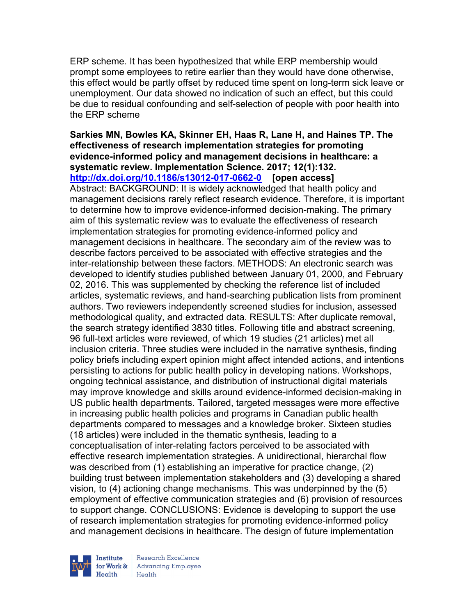ERP scheme. It has been hypothesized that while ERP membership would prompt some employees to retire earlier than they would have done otherwise, this effect would be partly offset by reduced time spent on long-term sick leave or unemployment. Our data showed no indication of such an effect, but this could be due to residual confounding and self-selection of people with poor health into the ERP scheme

Sarkies MN, Bowles KA, Skinner EH, Haas R, Lane H, and Haines TP. The effectiveness of research implementation strategies for promoting evidence-informed policy and management decisions in healthcare: a systematic review. Implementation Science. 2017; 12(1):132. http://dx.doi.org/10.1186/s13012-017-0662-0 [open access] Abstract: BACKGROUND: It is widely acknowledged that health policy and management decisions rarely reflect research evidence. Therefore, it is important to determine how to improve evidence-informed decision-making. The primary aim of this systematic review was to evaluate the effectiveness of research implementation strategies for promoting evidence-informed policy and management decisions in healthcare. The secondary aim of the review was to describe factors perceived to be associated with effective strategies and the inter-relationship between these factors. METHODS: An electronic search was developed to identify studies published between January 01, 2000, and February 02, 2016. This was supplemented by checking the reference list of included articles, systematic reviews, and hand-searching publication lists from prominent authors. Two reviewers independently screened studies for inclusion, assessed methodological quality, and extracted data. RESULTS: After duplicate removal, the search strategy identified 3830 titles. Following title and abstract screening, 96 full-text articles were reviewed, of which 19 studies (21 articles) met all inclusion criteria. Three studies were included in the narrative synthesis, finding policy briefs including expert opinion might affect intended actions, and intentions persisting to actions for public health policy in developing nations. Workshops, ongoing technical assistance, and distribution of instructional digital materials may improve knowledge and skills around evidence-informed decision-making in US public health departments. Tailored, targeted messages were more effective in increasing public health policies and programs in Canadian public health departments compared to messages and a knowledge broker. Sixteen studies (18 articles) were included in the thematic synthesis, leading to a conceptualisation of inter-relating factors perceived to be associated with effective research implementation strategies. A unidirectional, hierarchal flow was described from (1) establishing an imperative for practice change, (2) building trust between implementation stakeholders and (3) developing a shared vision, to (4) actioning change mechanisms. This was underpinned by the (5) employment of effective communication strategies and (6) provision of resources to support change. CONCLUSIONS: Evidence is developing to support the use of research implementation strategies for promoting evidence-informed policy and management decisions in healthcare. The design of future implementation

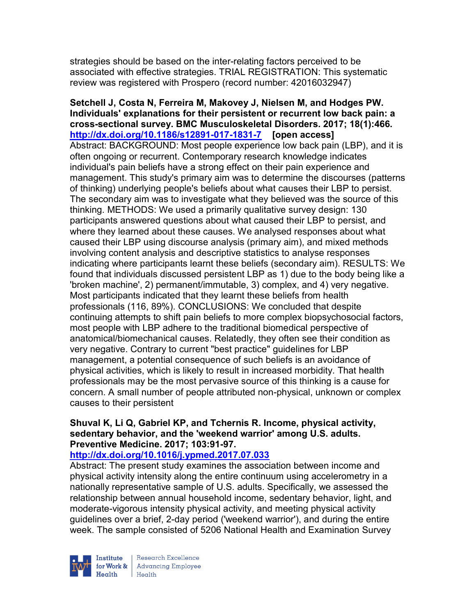strategies should be based on the inter-relating factors perceived to be associated with effective strategies. TRIAL REGISTRATION: This systematic review was registered with Prospero (record number: 42016032947)

Setchell J, Costa N, Ferreira M, Makovey J, Nielsen M, and Hodges PW. Individuals' explanations for their persistent or recurrent low back pain: a cross-sectional survey. BMC Musculoskeletal Disorders. 2017; 18(1):466. http://dx.doi.org/10.1186/s12891-017-1831-7 [open access] Abstract: BACKGROUND: Most people experience low back pain (LBP), and it is often ongoing or recurrent. Contemporary research knowledge indicates individual's pain beliefs have a strong effect on their pain experience and management. This study's primary aim was to determine the discourses (patterns of thinking) underlying people's beliefs about what causes their LBP to persist. The secondary aim was to investigate what they believed was the source of this thinking. METHODS: We used a primarily qualitative survey design: 130 participants answered questions about what caused their LBP to persist, and where they learned about these causes. We analysed responses about what caused their LBP using discourse analysis (primary aim), and mixed methods involving content analysis and descriptive statistics to analyse responses indicating where participants learnt these beliefs (secondary aim). RESULTS: We found that individuals discussed persistent LBP as 1) due to the body being like a 'broken machine', 2) permanent/immutable, 3) complex, and 4) very negative. Most participants indicated that they learnt these beliefs from health professionals (116, 89%). CONCLUSIONS: We concluded that despite continuing attempts to shift pain beliefs to more complex biopsychosocial factors, most people with LBP adhere to the traditional biomedical perspective of anatomical/biomechanical causes. Relatedly, they often see their condition as very negative. Contrary to current "best practice" guidelines for LBP management, a potential consequence of such beliefs is an avoidance of physical activities, which is likely to result in increased morbidity. That health professionals may be the most pervasive source of this thinking is a cause for concern. A small number of people attributed non-physical, unknown or complex causes to their persistent

### Shuval K, Li Q, Gabriel KP, and Tchernis R. Income, physical activity, sedentary behavior, and the 'weekend warrior' among U.S. adults. Preventive Medicine. 2017; 103:91-97.

## http://dx.doi.org/10.1016/j.ypmed.2017.07.033

Abstract: The present study examines the association between income and physical activity intensity along the entire continuum using accelerometry in a nationally representative sample of U.S. adults. Specifically, we assessed the relationship between annual household income, sedentary behavior, light, and moderate-vigorous intensity physical activity, and meeting physical activity guidelines over a brief, 2-day period ('weekend warrior'), and during the entire week. The sample consisted of 5206 National Health and Examination Survey



Research Excellence for Work & | Advancing Employee Health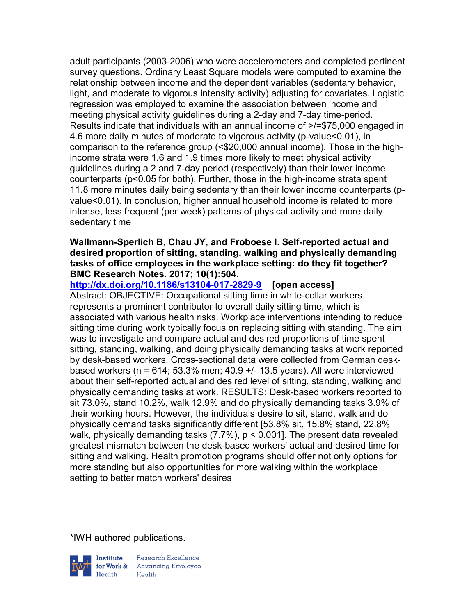adult participants (2003-2006) who wore accelerometers and completed pertinent survey questions. Ordinary Least Square models were computed to examine the relationship between income and the dependent variables (sedentary behavior, light, and moderate to vigorous intensity activity) adjusting for covariates. Logistic regression was employed to examine the association between income and meeting physical activity guidelines during a 2-day and 7-day time-period. Results indicate that individuals with an annual income of >/=\$75,000 engaged in 4.6 more daily minutes of moderate to vigorous activity (p-value<0.01), in comparison to the reference group (<\$20,000 annual income). Those in the highincome strata were 1.6 and 1.9 times more likely to meet physical activity guidelines during a 2 and 7-day period (respectively) than their lower income counterparts (p<0.05 for both). Further, those in the high-income strata spent 11.8 more minutes daily being sedentary than their lower income counterparts (pvalue<0.01). In conclusion, higher annual household income is related to more intense, less frequent (per week) patterns of physical activity and more daily sedentary time

#### Wallmann-Sperlich B, Chau JY, and Froboese I. Self-reported actual and desired proportion of sitting, standing, walking and physically demanding tasks of office employees in the workplace setting: do they fit together? BMC Research Notes. 2017; 10(1):504.

http://dx.doi.org/10.1186/s13104-017-2829-9 [open access] Abstract: OBJECTIVE: Occupational sitting time in white-collar workers represents a prominent contributor to overall daily sitting time, which is associated with various health risks. Workplace interventions intending to reduce sitting time during work typically focus on replacing sitting with standing. The aim was to investigate and compare actual and desired proportions of time spent sitting, standing, walking, and doing physically demanding tasks at work reported by desk-based workers. Cross-sectional data were collected from German deskbased workers (n = 614; 53.3% men; 40.9  $+/-$  13.5 years). All were interviewed about their self-reported actual and desired level of sitting, standing, walking and physically demanding tasks at work. RESULTS: Desk-based workers reported to sit 73.0%, stand 10.2%, walk 12.9% and do physically demanding tasks 3.9% of their working hours. However, the individuals desire to sit, stand, walk and do physically demand tasks significantly different [53.8% sit, 15.8% stand, 22.8% walk, physically demanding tasks (7.7%), p < 0.001]. The present data revealed greatest mismatch between the desk-based workers' actual and desired time for sitting and walking. Health promotion programs should offer not only options for more standing but also opportunities for more walking within the workplace setting to better match workers' desires

\*IWH authored publications.